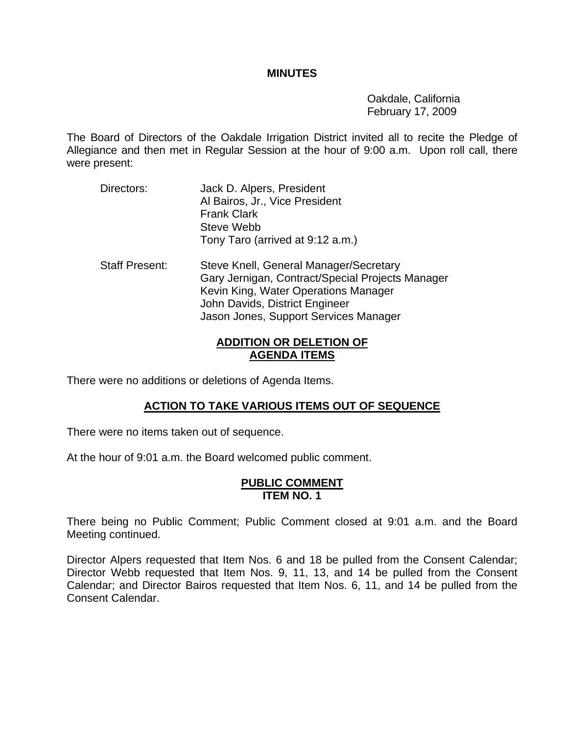#### **MINUTES**

 Oakdale, California February 17, 2009

The Board of Directors of the Oakdale Irrigation District invited all to recite the Pledge of Allegiance and then met in Regular Session at the hour of 9:00 a.m. Upon roll call, there were present:

| Directors:            | Jack D. Alpers, President<br>Al Bairos, Jr., Vice President<br><b>Frank Clark</b><br>Steve Webb<br>Tony Taro (arrived at 9:12 a.m.)                                                                           |
|-----------------------|---------------------------------------------------------------------------------------------------------------------------------------------------------------------------------------------------------------|
| <b>Staff Present:</b> | Steve Knell, General Manager/Secretary<br>Gary Jernigan, Contract/Special Projects Manager<br>Kevin King, Water Operations Manager<br>John Davids, District Engineer<br>Jason Jones, Support Services Manager |

# **ADDITION OR DELETION OF AGENDA ITEMS**

There were no additions or deletions of Agenda Items.

# **ACTION TO TAKE VARIOUS ITEMS OUT OF SEQUENCE**

There were no items taken out of sequence.

At the hour of 9:01 a.m. the Board welcomed public comment.

#### **PUBLIC COMMENT ITEM NO. 1**

There being no Public Comment; Public Comment closed at 9:01 a.m. and the Board Meeting continued.

Director Alpers requested that Item Nos. 6 and 18 be pulled from the Consent Calendar; Director Webb requested that Item Nos. 9, 11, 13, and 14 be pulled from the Consent Calendar; and Director Bairos requested that Item Nos. 6, 11, and 14 be pulled from the Consent Calendar.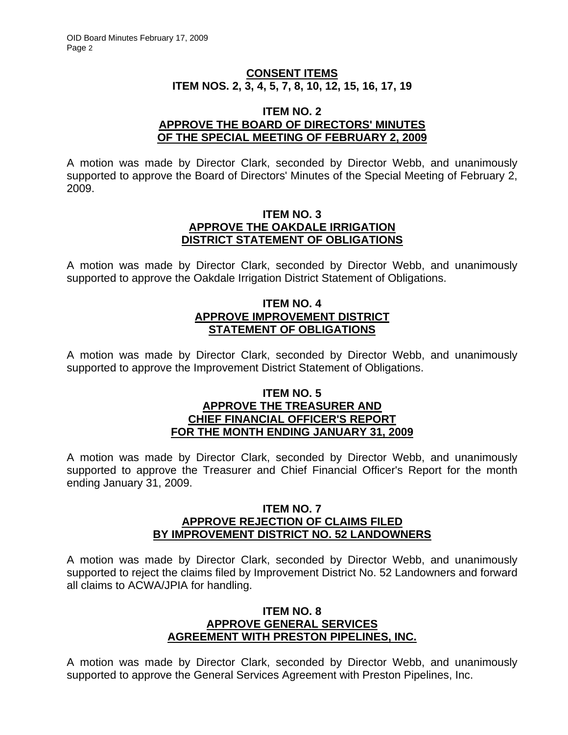# **CONSENT ITEMS ITEM NOS. 2, 3, 4, 5, 7, 8, 10, 12, 15, 16, 17, 19**

#### **ITEM NO. 2 APPROVE THE BOARD OF DIRECTORS' MINUTES OF THE SPECIAL MEETING OF FEBRUARY 2, 2009**

A motion was made by Director Clark, seconded by Director Webb, and unanimously supported to approve the Board of Directors' Minutes of the Special Meeting of February 2, 2009.

#### **ITEM NO. 3 APPROVE THE OAKDALE IRRIGATION DISTRICT STATEMENT OF OBLIGATIONS**

A motion was made by Director Clark, seconded by Director Webb, and unanimously supported to approve the Oakdale Irrigation District Statement of Obligations.

## **ITEM NO. 4 APPROVE IMPROVEMENT DISTRICT STATEMENT OF OBLIGATIONS**

A motion was made by Director Clark, seconded by Director Webb, and unanimously supported to approve the Improvement District Statement of Obligations.

## **ITEM NO. 5 APPROVE THE TREASURER AND CHIEF FINANCIAL OFFICER'S REPORT FOR THE MONTH ENDING JANUARY 31, 2009**

A motion was made by Director Clark, seconded by Director Webb, and unanimously supported to approve the Treasurer and Chief Financial Officer's Report for the month ending January 31, 2009.

#### **ITEM NO. 7 APPROVE REJECTION OF CLAIMS FILED BY IMPROVEMENT DISTRICT NO. 52 LANDOWNERS**

A motion was made by Director Clark, seconded by Director Webb, and unanimously supported to reject the claims filed by Improvement District No. 52 Landowners and forward all claims to ACWA/JPIA for handling.

#### **ITEM NO. 8 APPROVE GENERAL SERVICES AGREEMENT WITH PRESTON PIPELINES, INC.**

A motion was made by Director Clark, seconded by Director Webb, and unanimously supported to approve the General Services Agreement with Preston Pipelines, Inc.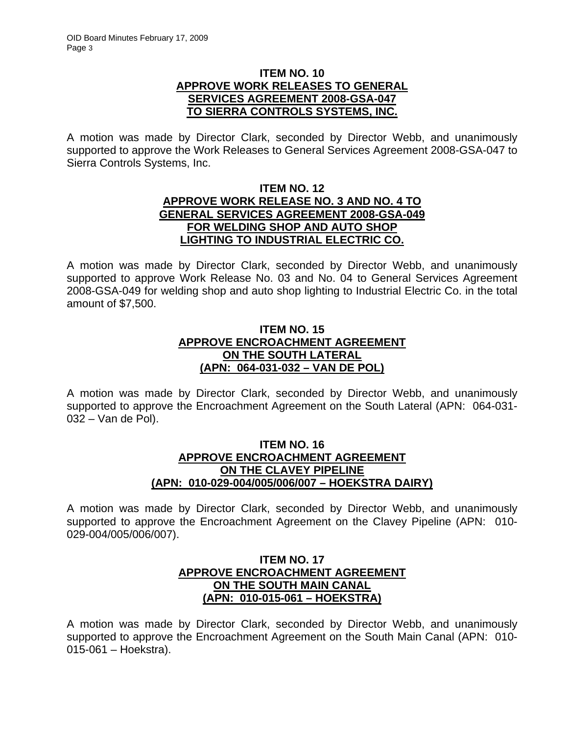### **ITEM NO. 10 APPROVE WORK RELEASES TO GENERAL SERVICES AGREEMENT 2008-GSA-047 TO SIERRA CONTROLS SYSTEMS, INC.**

A motion was made by Director Clark, seconded by Director Webb, and unanimously supported to approve the Work Releases to General Services Agreement 2008-GSA-047 to Sierra Controls Systems, Inc.

### **ITEM NO. 12 APPROVE WORK RELEASE NO. 3 AND NO. 4 TO GENERAL SERVICES AGREEMENT 2008-GSA-049 FOR WELDING SHOP AND AUTO SHOP LIGHTING TO INDUSTRIAL ELECTRIC CO.**

A motion was made by Director Clark, seconded by Director Webb, and unanimously supported to approve Work Release No. 03 and No. 04 to General Services Agreement 2008-GSA-049 for welding shop and auto shop lighting to Industrial Electric Co. in the total amount of \$7,500.

# **ITEM NO. 15 APPROVE ENCROACHMENT AGREEMENT ON THE SOUTH LATERAL (APN: 064-031-032 – VAN DE POL)**

A motion was made by Director Clark, seconded by Director Webb, and unanimously supported to approve the Encroachment Agreement on the South Lateral (APN: 064-031- 032 – Van de Pol).

### **ITEM NO. 16 APPROVE ENCROACHMENT AGREEMENT ON THE CLAVEY PIPELINE (APN: 010-029-004/005/006/007 – HOEKSTRA DAIRY)**

A motion was made by Director Clark, seconded by Director Webb, and unanimously supported to approve the Encroachment Agreement on the Clavey Pipeline (APN: 010- 029-004/005/006/007).

# **ITEM NO. 17 APPROVE ENCROACHMENT AGREEMENT ON THE SOUTH MAIN CANAL (APN: 010-015-061 – HOEKSTRA)**

A motion was made by Director Clark, seconded by Director Webb, and unanimously supported to approve the Encroachment Agreement on the South Main Canal (APN: 010- 015-061 – Hoekstra).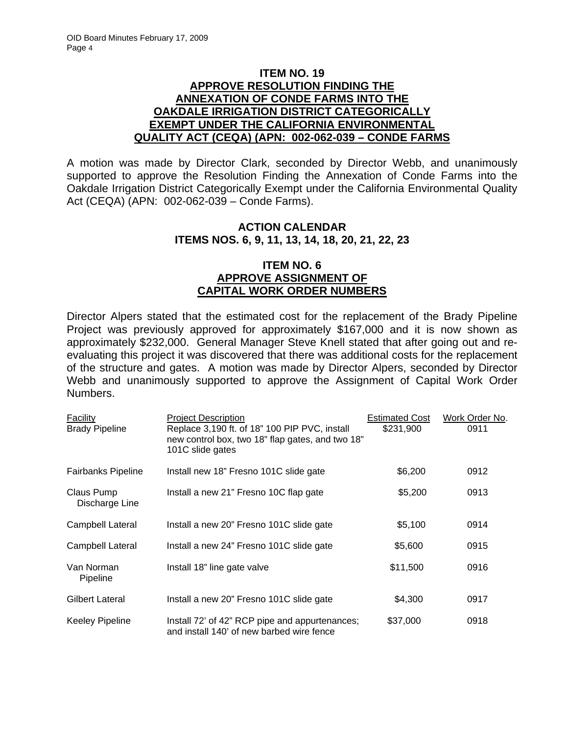## **ITEM NO. 19 APPROVE RESOLUTION FINDING THE ANNEXATION OF CONDE FARMS INTO THE OAKDALE IRRIGATION DISTRICT CATEGORICALLY EXEMPT UNDER THE CALIFORNIA ENVIRONMENTAL QUALITY ACT (CEQA) (APN: 002-062-039 – CONDE FARMS**

A motion was made by Director Clark, seconded by Director Webb, and unanimously supported to approve the Resolution Finding the Annexation of Conde Farms into the Oakdale Irrigation District Categorically Exempt under the California Environmental Quality Act (CEQA) (APN: 002-062-039 – Conde Farms).

# **ACTION CALENDAR ITEMS NOS. 6, 9, 11, 13, 14, 18, 20, 21, 22, 23**

## **ITEM NO. 6 APPROVE ASSIGNMENT OF CAPITAL WORK ORDER NUMBERS**

Director Alpers stated that the estimated cost for the replacement of the Brady Pipeline Project was previously approved for approximately \$167,000 and it is now shown as approximately \$232,000. General Manager Steve Knell stated that after going out and reevaluating this project it was discovered that there was additional costs for the replacement of the structure and gates. A motion was made by Director Alpers, seconded by Director Webb and unanimously supported to approve the Assignment of Capital Work Order Numbers.

| Facility<br><b>Brady Pipeline</b> | <b>Project Description</b><br>Replace 3,190 ft. of 18" 100 PIP PVC, install<br>new control box, two 18" flap gates, and two 18"<br>101C slide gates | <b>Estimated Cost</b><br>\$231,900 | Work Order No.<br>0911 |
|-----------------------------------|-----------------------------------------------------------------------------------------------------------------------------------------------------|------------------------------------|------------------------|
| <b>Fairbanks Pipeline</b>         | Install new 18" Fresno 101C slide gate                                                                                                              | \$6,200                            | 0912                   |
| Claus Pump<br>Discharge Line      | Install a new 21" Fresno 10C flap gate                                                                                                              | \$5,200                            | 0913                   |
| Campbell Lateral                  | Install a new 20" Fresno 101C slide gate                                                                                                            | \$5,100                            | 0914                   |
| Campbell Lateral                  | Install a new 24" Fresno 101C slide gate                                                                                                            | \$5,600                            | 0915                   |
| Van Norman<br>Pipeline            | Install 18" line gate valve                                                                                                                         | \$11,500                           | 0916                   |
| Gilbert Lateral                   | Install a new 20" Fresno 101C slide gate                                                                                                            | \$4,300                            | 0917                   |
| <b>Keeley Pipeline</b>            | Install 72' of 42" RCP pipe and appurtenances;<br>and install 140' of new barbed wire fence                                                         | \$37,000                           | 0918                   |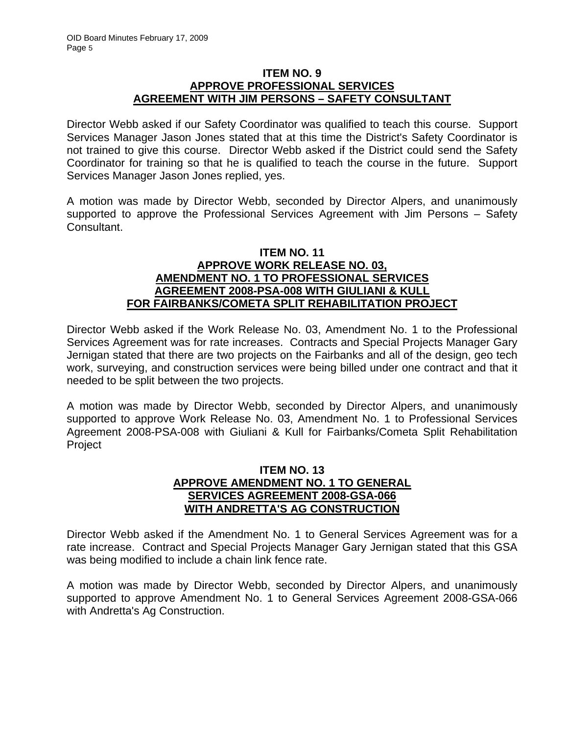#### **ITEM NO. 9 APPROVE PROFESSIONAL SERVICES AGREEMENT WITH JIM PERSONS – SAFETY CONSULTANT**

Director Webb asked if our Safety Coordinator was qualified to teach this course. Support Services Manager Jason Jones stated that at this time the District's Safety Coordinator is not trained to give this course. Director Webb asked if the District could send the Safety Coordinator for training so that he is qualified to teach the course in the future. Support Services Manager Jason Jones replied, yes.

A motion was made by Director Webb, seconded by Director Alpers, and unanimously supported to approve the Professional Services Agreement with Jim Persons – Safety Consultant.

# **ITEM NO. 11 APPROVE WORK RELEASE NO. 03, AMENDMENT NO. 1 TO PROFESSIONAL SERVICES AGREEMENT 2008-PSA-008 WITH GIULIANI & KULL FOR FAIRBANKS/COMETA SPLIT REHABILITATION PROJECT**

Director Webb asked if the Work Release No. 03, Amendment No. 1 to the Professional Services Agreement was for rate increases. Contracts and Special Projects Manager Gary Jernigan stated that there are two projects on the Fairbanks and all of the design, geo tech work, surveying, and construction services were being billed under one contract and that it needed to be split between the two projects.

A motion was made by Director Webb, seconded by Director Alpers, and unanimously supported to approve Work Release No. 03, Amendment No. 1 to Professional Services Agreement 2008-PSA-008 with Giuliani & Kull for Fairbanks/Cometa Split Rehabilitation Project

# **ITEM NO. 13 APPROVE AMENDMENT NO. 1 TO GENERAL SERVICES AGREEMENT 2008-GSA-066 WITH ANDRETTA'S AG CONSTRUCTION**

Director Webb asked if the Amendment No. 1 to General Services Agreement was for a rate increase. Contract and Special Projects Manager Gary Jernigan stated that this GSA was being modified to include a chain link fence rate.

A motion was made by Director Webb, seconded by Director Alpers, and unanimously supported to approve Amendment No. 1 to General Services Agreement 2008-GSA-066 with Andretta's Ag Construction.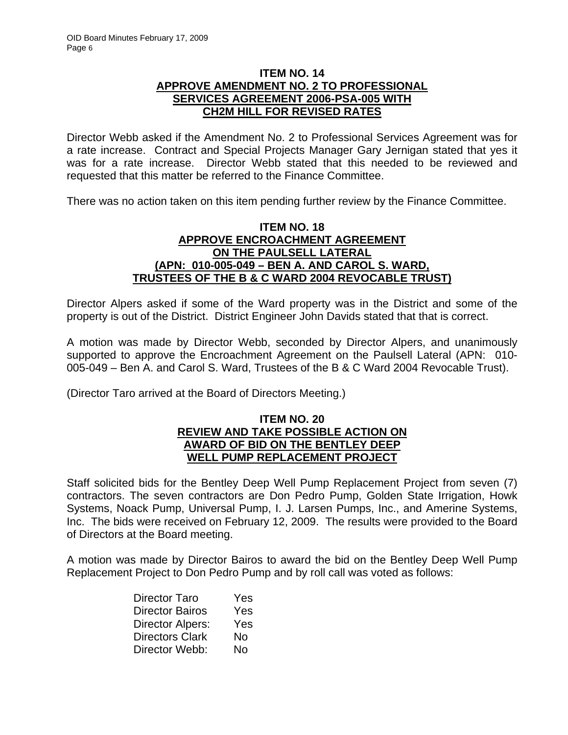## **ITEM NO. 14 APPROVE AMENDMENT NO. 2 TO PROFESSIONAL SERVICES AGREEMENT 2006-PSA-005 WITH CH2M HILL FOR REVISED RATES**

Director Webb asked if the Amendment No. 2 to Professional Services Agreement was for a rate increase. Contract and Special Projects Manager Gary Jernigan stated that yes it was for a rate increase. Director Webb stated that this needed to be reviewed and requested that this matter be referred to the Finance Committee.

There was no action taken on this item pending further review by the Finance Committee.

# **ITEM NO. 18 APPROVE ENCROACHMENT AGREEMENT ON THE PAULSELL LATERAL (APN: 010-005-049 – BEN A. AND CAROL S. WARD, TRUSTEES OF THE B & C WARD 2004 REVOCABLE TRUST)**

Director Alpers asked if some of the Ward property was in the District and some of the property is out of the District. District Engineer John Davids stated that that is correct.

A motion was made by Director Webb, seconded by Director Alpers, and unanimously supported to approve the Encroachment Agreement on the Paulsell Lateral (APN: 010- 005-049 – Ben A. and Carol S. Ward, Trustees of the B & C Ward 2004 Revocable Trust).

(Director Taro arrived at the Board of Directors Meeting.)

#### **ITEM NO. 20 REVIEW AND TAKE POSSIBLE ACTION ON AWARD OF BID ON THE BENTLEY DEEP WELL PUMP REPLACEMENT PROJECT**

Staff solicited bids for the Bentley Deep Well Pump Replacement Project from seven (7) contractors. The seven contractors are Don Pedro Pump, Golden State Irrigation, Howk Systems, Noack Pump, Universal Pump, I. J. Larsen Pumps, Inc., and Amerine Systems, Inc. The bids were received on February 12, 2009. The results were provided to the Board of Directors at the Board meeting.

A motion was made by Director Bairos to award the bid on the Bentley Deep Well Pump Replacement Project to Don Pedro Pump and by roll call was voted as follows:

| Director Taro           | Yes |
|-------------------------|-----|
| <b>Director Bairos</b>  | Yes |
| <b>Director Alpers:</b> | Yes |
| <b>Directors Clark</b>  | No  |
| Director Webb:          | No  |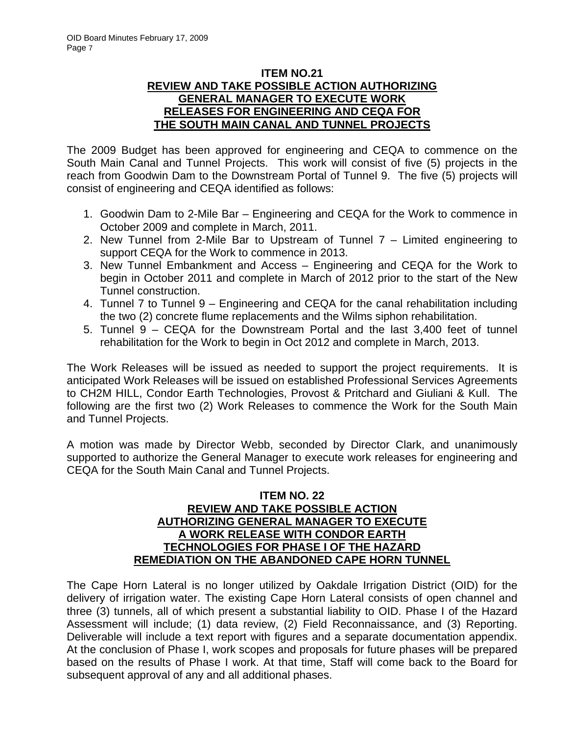# **ITEM NO.21 REVIEW AND TAKE POSSIBLE ACTION AUTHORIZING GENERAL MANAGER TO EXECUTE WORK RELEASES FOR ENGINEERING AND CEQA FOR THE SOUTH MAIN CANAL AND TUNNEL PROJECTS**

The 2009 Budget has been approved for engineering and CEQA to commence on the South Main Canal and Tunnel Projects. This work will consist of five (5) projects in the reach from Goodwin Dam to the Downstream Portal of Tunnel 9. The five (5) projects will consist of engineering and CEQA identified as follows:

- 1. Goodwin Dam to 2-Mile Bar Engineering and CEQA for the Work to commence in October 2009 and complete in March, 2011.
- 2. New Tunnel from 2-Mile Bar to Upstream of Tunnel 7 Limited engineering to support CEQA for the Work to commence in 2013.
- 3. New Tunnel Embankment and Access Engineering and CEQA for the Work to begin in October 2011 and complete in March of 2012 prior to the start of the New Tunnel construction.
- 4. Tunnel 7 to Tunnel 9 Engineering and CEQA for the canal rehabilitation including the two (2) concrete flume replacements and the Wilms siphon rehabilitation.
- 5. Tunnel 9 CEQA for the Downstream Portal and the last 3,400 feet of tunnel rehabilitation for the Work to begin in Oct 2012 and complete in March, 2013.

The Work Releases will be issued as needed to support the project requirements. It is anticipated Work Releases will be issued on established Professional Services Agreements to CH2M HILL, Condor Earth Technologies, Provost & Pritchard and Giuliani & Kull. The following are the first two (2) Work Releases to commence the Work for the South Main and Tunnel Projects.

A motion was made by Director Webb, seconded by Director Clark, and unanimously supported to authorize the General Manager to execute work releases for engineering and CEQA for the South Main Canal and Tunnel Projects.

## **ITEM NO. 22 REVIEW AND TAKE POSSIBLE ACTION AUTHORIZING GENERAL MANAGER TO EXECUTE A WORK RELEASE WITH CONDOR EARTH TECHNOLOGIES FOR PHASE I OF THE HAZARD REMEDIATION ON THE ABANDONED CAPE HORN TUNNEL**

The Cape Horn Lateral is no longer utilized by Oakdale Irrigation District (OID) for the delivery of irrigation water. The existing Cape Horn Lateral consists of open channel and three (3) tunnels, all of which present a substantial liability to OID. Phase I of the Hazard Assessment will include; (1) data review, (2) Field Reconnaissance, and (3) Reporting. Deliverable will include a text report with figures and a separate documentation appendix. At the conclusion of Phase I, work scopes and proposals for future phases will be prepared based on the results of Phase I work. At that time, Staff will come back to the Board for subsequent approval of any and all additional phases.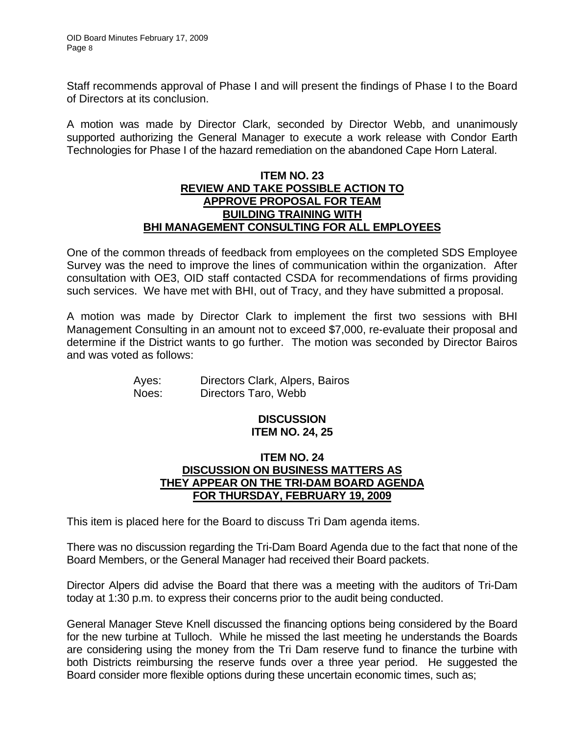Staff recommends approval of Phase I and will present the findings of Phase I to the Board of Directors at its conclusion.

A motion was made by Director Clark, seconded by Director Webb, and unanimously supported authorizing the General Manager to execute a work release with Condor Earth Technologies for Phase I of the hazard remediation on the abandoned Cape Horn Lateral.

## **ITEM NO. 23 REVIEW AND TAKE POSSIBLE ACTION TO APPROVE PROPOSAL FOR TEAM BUILDING TRAINING WITH BHI MANAGEMENT CONSULTING FOR ALL EMPLOYEES**

One of the common threads of feedback from employees on the completed SDS Employee Survey was the need to improve the lines of communication within the organization. After consultation with OE3, OID staff contacted CSDA for recommendations of firms providing such services. We have met with BHI, out of Tracy, and they have submitted a proposal.

A motion was made by Director Clark to implement the first two sessions with BHI Management Consulting in an amount not to exceed \$7,000, re-evaluate their proposal and determine if the District wants to go further. The motion was seconded by Director Bairos and was voted as follows:

| Ayes: | Directors Clark, Alpers, Bairos |
|-------|---------------------------------|
| Noes: | Directors Taro, Webb            |

### **DISCUSSION ITEM NO. 24, 25**

# **ITEM NO. 24 DISCUSSION ON BUSINESS MATTERS AS THEY APPEAR ON THE TRI-DAM BOARD AGENDA FOR THURSDAY, FEBRUARY 19, 2009**

This item is placed here for the Board to discuss Tri Dam agenda items.

There was no discussion regarding the Tri-Dam Board Agenda due to the fact that none of the Board Members, or the General Manager had received their Board packets.

Director Alpers did advise the Board that there was a meeting with the auditors of Tri-Dam today at 1:30 p.m. to express their concerns prior to the audit being conducted.

General Manager Steve Knell discussed the financing options being considered by the Board for the new turbine at Tulloch. While he missed the last meeting he understands the Boards are considering using the money from the Tri Dam reserve fund to finance the turbine with both Districts reimbursing the reserve funds over a three year period. He suggested the Board consider more flexible options during these uncertain economic times, such as;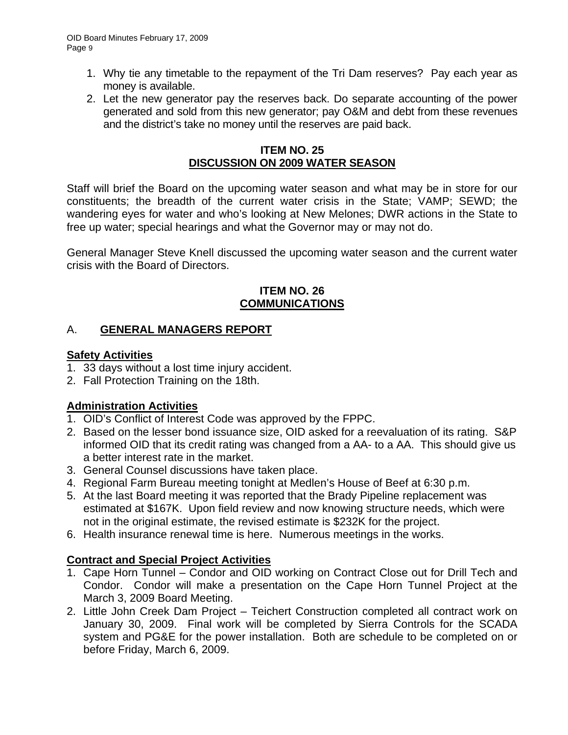- 1. Why tie any timetable to the repayment of the Tri Dam reserves? Pay each year as money is available.
- 2. Let the new generator pay the reserves back. Do separate accounting of the power generated and sold from this new generator; pay O&M and debt from these revenues and the district's take no money until the reserves are paid back.

# **ITEM NO. 25 DISCUSSION ON 2009 WATER SEASON**

Staff will brief the Board on the upcoming water season and what may be in store for our constituents; the breadth of the current water crisis in the State; VAMP; SEWD; the wandering eyes for water and who's looking at New Melones; DWR actions in the State to free up water; special hearings and what the Governor may or may not do.

General Manager Steve Knell discussed the upcoming water season and the current water crisis with the Board of Directors.

# **ITEM NO. 26 COMMUNICATIONS**

# A. **GENERAL MANAGERS REPORT**

# **Safety Activities**

- 1. 33 days without a lost time injury accident.
- 2. Fall Protection Training on the 18th.

# **Administration Activities**

- 1. OID's Conflict of Interest Code was approved by the FPPC.
- 2. Based on the lesser bond issuance size, OID asked for a reevaluation of its rating. S&P informed OID that its credit rating was changed from a AA- to a AA. This should give us a better interest rate in the market.
- 3. General Counsel discussions have taken place.
- 4. Regional Farm Bureau meeting tonight at Medlen's House of Beef at 6:30 p.m.
- 5. At the last Board meeting it was reported that the Brady Pipeline replacement was estimated at \$167K. Upon field review and now knowing structure needs, which were not in the original estimate, the revised estimate is \$232K for the project.
- 6. Health insurance renewal time is here. Numerous meetings in the works.

# **Contract and Special Project Activities**

- 1. Cape Horn Tunnel Condor and OID working on Contract Close out for Drill Tech and Condor. Condor will make a presentation on the Cape Horn Tunnel Project at the March 3, 2009 Board Meeting.
- 2. Little John Creek Dam Project Teichert Construction completed all contract work on January 30, 2009. Final work will be completed by Sierra Controls for the SCADA system and PG&E for the power installation. Both are schedule to be completed on or before Friday, March 6, 2009.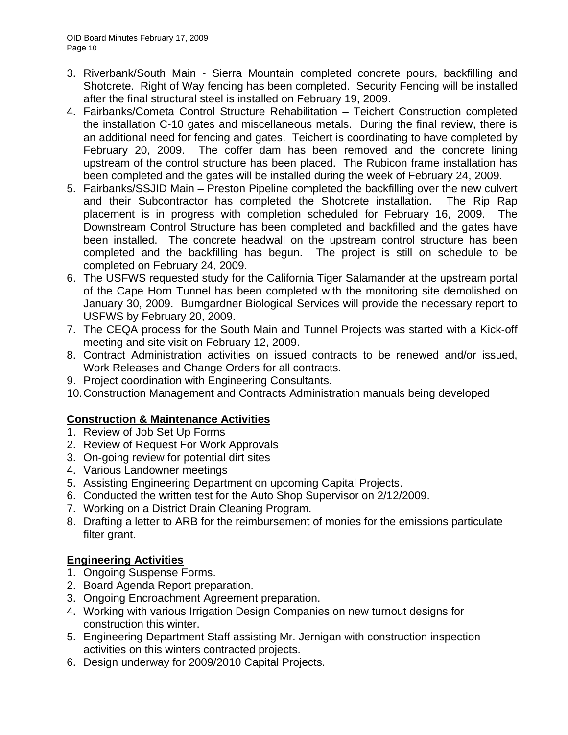- 3. Riverbank/South Main Sierra Mountain completed concrete pours, backfilling and Shotcrete. Right of Way fencing has been completed. Security Fencing will be installed after the final structural steel is installed on February 19, 2009.
- 4. Fairbanks/Cometa Control Structure Rehabilitation Teichert Construction completed the installation C-10 gates and miscellaneous metals. During the final review, there is an additional need for fencing and gates. Teichert is coordinating to have completed by February 20, 2009. The coffer dam has been removed and the concrete lining upstream of the control structure has been placed. The Rubicon frame installation has been completed and the gates will be installed during the week of February 24, 2009.
- 5. Fairbanks/SSJID Main Preston Pipeline completed the backfilling over the new culvert and their Subcontractor has completed the Shotcrete installation. The Rip Rap placement is in progress with completion scheduled for February 16, 2009. The Downstream Control Structure has been completed and backfilled and the gates have been installed. The concrete headwall on the upstream control structure has been completed and the backfilling has begun. The project is still on schedule to be completed on February 24, 2009.
- 6. The USFWS requested study for the California Tiger Salamander at the upstream portal of the Cape Horn Tunnel has been completed with the monitoring site demolished on January 30, 2009. Bumgardner Biological Services will provide the necessary report to USFWS by February 20, 2009.
- 7. The CEQA process for the South Main and Tunnel Projects was started with a Kick-off meeting and site visit on February 12, 2009.
- 8. Contract Administration activities on issued contracts to be renewed and/or issued, Work Releases and Change Orders for all contracts.
- 9. Project coordination with Engineering Consultants.
- 10. Construction Management and Contracts Administration manuals being developed

# **Construction & Maintenance Activities**

- 1. Review of Job Set Up Forms
- 2. Review of Request For Work Approvals
- 3. On-going review for potential dirt sites
- 4. Various Landowner meetings
- 5. Assisting Engineering Department on upcoming Capital Projects.
- 6. Conducted the written test for the Auto Shop Supervisor on 2/12/2009.
- 7. Working on a District Drain Cleaning Program.
- 8. Drafting a letter to ARB for the reimbursement of monies for the emissions particulate filter grant.

# **Engineering Activities**

- 1. Ongoing Suspense Forms.
- 2. Board Agenda Report preparation.
- 3. Ongoing Encroachment Agreement preparation.
- 4. Working with various Irrigation Design Companies on new turnout designs for construction this winter.
- 5. Engineering Department Staff assisting Mr. Jernigan with construction inspection activities on this winters contracted projects.
- 6. Design underway for 2009/2010 Capital Projects.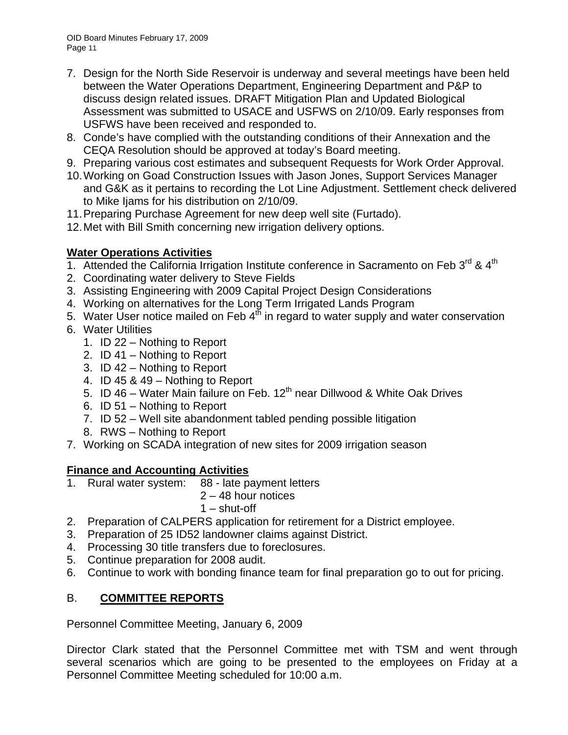OID Board Minutes February 17, 2009 Page 11

- 7. Design for the North Side Reservoir is underway and several meetings have been held between the Water Operations Department, Engineering Department and P&P to discuss design related issues. DRAFT Mitigation Plan and Updated Biological Assessment was submitted to USACE and USFWS on 2/10/09. Early responses from USFWS have been received and responded to.
- 8. Conde's have complied with the outstanding conditions of their Annexation and the CEQA Resolution should be approved at today's Board meeting.
- 9. Preparing various cost estimates and subsequent Requests for Work Order Approval.
- 10. Working on Goad Construction Issues with Jason Jones, Support Services Manager and G&K as it pertains to recording the Lot Line Adjustment. Settlement check delivered to Mike Ijams for his distribution on 2/10/09.
- 11. Preparing Purchase Agreement for new deep well site (Furtado).
- 12. Met with Bill Smith concerning new irrigation delivery options.

# **Water Operations Activities**

- 1. Attended the California Irrigation Institute conference in Sacramento on Feb  $3^{\text{rd}}$  &  $4^{\text{th}}$
- 2. Coordinating water delivery to Steve Fields
- 3. Assisting Engineering with 2009 Capital Project Design Considerations
- 4. Working on alternatives for the Long Term Irrigated Lands Program
- 5. Water User notice mailed on Feb  $4^{th}$  in regard to water supply and water conservation
- 6. Water Utilities
	- 1. ID 22 Nothing to Report
	- 2. ID 41 Nothing to Report
	- 3. ID 42 Nothing to Report
	- 4. ID 45 & 49 Nothing to Report
	- 5. ID 46 Water Main failure on Feb. 12<sup>th</sup> near Dillwood & White Oak Drives
	- 6. ID 51 Nothing to Report
	- 7. ID 52 Well site abandonment tabled pending possible litigation
	- 8. RWS Nothing to Report
- 7. Working on SCADA integration of new sites for 2009 irrigation season

# **Finance and Accounting Activities**

1. Rural water system: 88 - late payment letters

2 – 48 hour notices

1 – shut-off

- 2. Preparation of CALPERS application for retirement for a District employee.
- 3. Preparation of 25 ID52 landowner claims against District.
- 4. Processing 30 title transfers due to foreclosures.
- 5. Continue preparation for 2008 audit.
- 6. Continue to work with bonding finance team for final preparation go to out for pricing.

# B. **COMMITTEE REPORTS**

Personnel Committee Meeting, January 6, 2009

Director Clark stated that the Personnel Committee met with TSM and went through several scenarios which are going to be presented to the employees on Friday at a Personnel Committee Meeting scheduled for 10:00 a.m.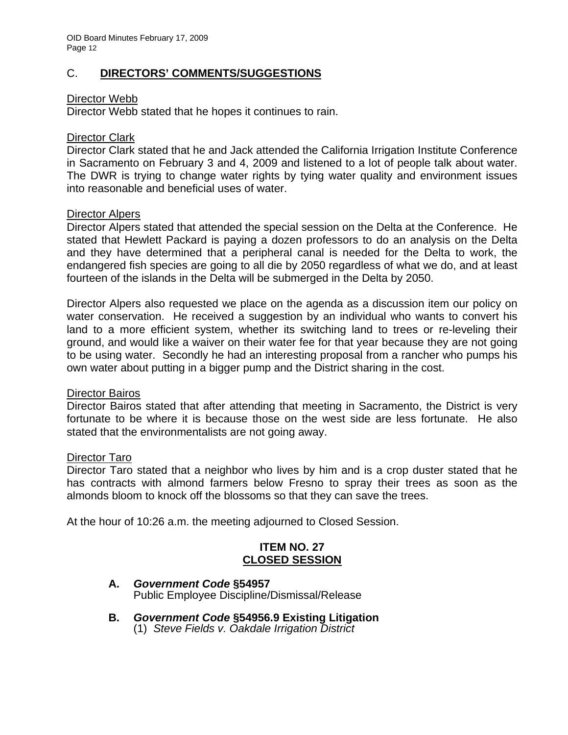# C. **DIRECTORS' COMMENTS/SUGGESTIONS**

### Director Webb

Director Webb stated that he hopes it continues to rain.

### Director Clark

Director Clark stated that he and Jack attended the California Irrigation Institute Conference in Sacramento on February 3 and 4, 2009 and listened to a lot of people talk about water. The DWR is trying to change water rights by tying water quality and environment issues into reasonable and beneficial uses of water.

### Director Alpers

Director Alpers stated that attended the special session on the Delta at the Conference. He stated that Hewlett Packard is paying a dozen professors to do an analysis on the Delta and they have determined that a peripheral canal is needed for the Delta to work, the endangered fish species are going to all die by 2050 regardless of what we do, and at least fourteen of the islands in the Delta will be submerged in the Delta by 2050.

Director Alpers also requested we place on the agenda as a discussion item our policy on water conservation. He received a suggestion by an individual who wants to convert his land to a more efficient system, whether its switching land to trees or re-leveling their ground, and would like a waiver on their water fee for that year because they are not going to be using water. Secondly he had an interesting proposal from a rancher who pumps his own water about putting in a bigger pump and the District sharing in the cost.

#### Director Bairos

Director Bairos stated that after attending that meeting in Sacramento, the District is very fortunate to be where it is because those on the west side are less fortunate. He also stated that the environmentalists are not going away.

#### Director Taro

Director Taro stated that a neighbor who lives by him and is a crop duster stated that he has contracts with almond farmers below Fresno to spray their trees as soon as the almonds bloom to knock off the blossoms so that they can save the trees.

At the hour of 10:26 a.m. the meeting adjourned to Closed Session.

# **ITEM NO. 27 CLOSED SESSION**

- **A.** *Government Code* **§54957**  Public Employee Discipline/Dismissal/Release
- **B.** *Government Code* **§54956.9 Existing Litigation** (1) *Steve Fields v. Oakdale Irrigation District*